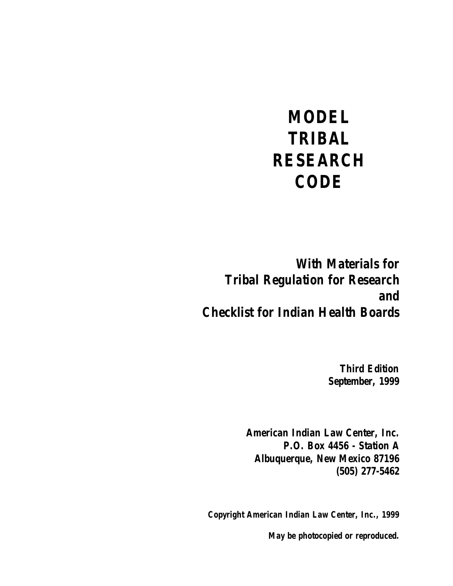# *MODEL TRIBAL RESEARCH CODE*

*With Materials for Tribal Regulation for Research and Checklist for Indian Health Boards* 

> *Third Edition September, 1999*

*American Indian Law Center, Inc. P.O. Box 4456 - Station A Albuquerque, New Mexico 87196 (505) 277-5462* 

*Copyright American Indian Law Center, Inc., 1999* 

*May be photocopied or reproduced.*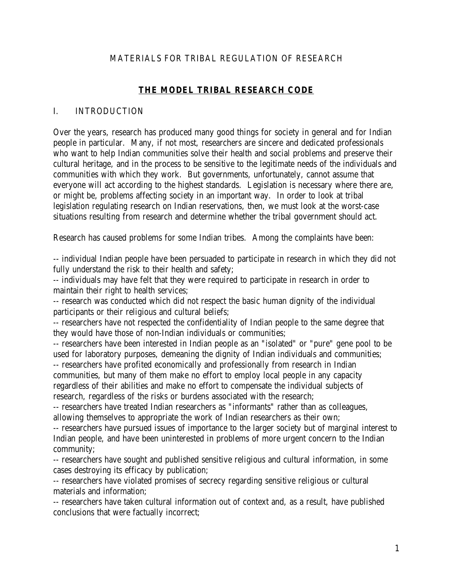## MATERIALS FOR TRIBAL REGULATION OF RESEARCH

## **THE MODEL TRIBAL RESEARCH CODE**

#### I. INTRODUCTION

Over the years, research has produced many good things for society in general and for Indian people in particular. Many, if not most, researchers are sincere and dedicated professionals who want to help Indian communities solve their health and social problems and preserve their cultural heritage, and in the process to be sensitive to the legitimate needs of the individuals and communities with which they work. But governments, unfortunately, cannot assume that everyone will act according to the highest standards. Legislation is necessary where there are, or might be, problems affecting society in an important way. In order to look at tribal legislation regulating research on Indian reservations, then, we must look at the worst-case situations resulting from research and determine whether the tribal government should act.

Research has caused problems for some Indian tribes. Among the complaints have been:

-- individual Indian people have been persuaded to participate in research in which they did not fully understand the risk to their health and safety;

-- individuals may have felt that they were required to participate in research in order to maintain their right to health services;

-- research was conducted which did not respect the basic human dignity of the individual participants or their religious and cultural beliefs;

-- researchers have not respected the confidentiality of Indian people to the same degree that they would have those of non-Indian individuals or communities;

-- researchers have been interested in Indian people as an "isolated" or "pure" gene pool to be used for laboratory purposes, demeaning the dignity of Indian individuals and communities; -- researchers have profited economically and professionally from research in Indian

communities, but many of them make no effort to employ local people in any capacity regardless of their abilities and make no effort to compensate the individual subjects of research, regardless of the risks or burdens associated with the research;

-- researchers have treated Indian researchers as "informants" rather than as colleagues, allowing themselves to appropriate the work of Indian researchers as their own;

-- researchers have pursued issues of importance to the larger society but of marginal interest to Indian people, and have been uninterested in problems of more urgent concern to the Indian community;

-- researchers have sought and published sensitive religious and cultural information, in some cases destroying its efficacy by publication;

-- researchers have violated promises of secrecy regarding sensitive religious or cultural materials and information;

-- researchers have taken cultural information out of context and, as a result, have published conclusions that were factually incorrect;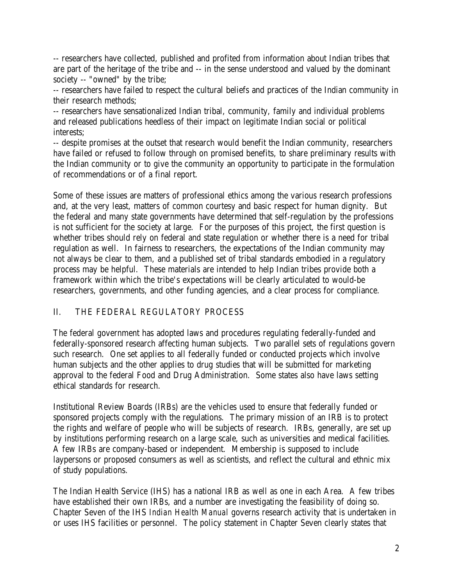-- researchers have collected, published and profited from information about Indian tribes that are part of the heritage of the tribe and -- in the sense understood and valued by the dominant society -- "owned" by the tribe;

-- researchers have failed to respect the cultural beliefs and practices of the Indian community in their research methods;

-- researchers have sensationalized Indian tribal, community, family and individual problems and released publications heedless of their impact on legitimate Indian social or political interests;

-- despite promises at the outset that research would benefit the Indian community, researchers have failed or refused to follow through on promised benefits, to share preliminary results with the Indian community or to give the community an opportunity to participate in the formulation of recommendations or of a final report.

Some of these issues are matters of professional ethics among the various research professions and, at the very least, matters of common courtesy and basic respect for human dignity. But the federal and many state governments have determined that self-regulation by the professions is not sufficient for the society at large. For the purposes of this project, the first question is whether tribes should rely on federal and state regulation or whether there is a need for tribal regulation as well. In fairness to researchers, the expectations of the Indian community may not always be clear to them, and a published set of tribal standards embodied in a regulatory process may be helpful. These materials are intended to help Indian tribes provide both a framework within which the tribe's expectations will be clearly articulated to would-be researchers, governments, and other funding agencies, and a clear process for compliance.

## II. THE FEDERAL REGULATORY PROCESS

The federal government has adopted laws and procedures regulating federally-funded and federally-sponsored research affecting human subjects. Two parallel sets of regulations govern such research. One set applies to all federally funded or conducted projects which involve human subjects and the other applies to drug studies that will be submitted for marketing approval to the federal Food and Drug Administration. Some states also have laws setting ethical standards for research.

Institutional Review Boards (IRBs) are the vehicles used to ensure that federally funded or sponsored projects comply with the regulations. The primary mission of an IRB is to protect the rights and welfare of people who will be subjects of research. IRBs, generally, are set up by institutions performing research on a large scale, such as universities and medical facilities. A few IRBs are company-based or independent. Membership is supposed to include laypersons or proposed consumers as well as scientists, and reflect the cultural and ethnic mix of study populations.

The Indian Health Service (IHS) has a national IRB as well as one in each Area. A few tribes have established their own IRBs, and a number are investigating the feasibility of doing so. Chapter Seven of the IHS *Indian Health Manual* governs research activity that is undertaken in or uses IHS facilities or personnel. The policy statement in Chapter Seven clearly states that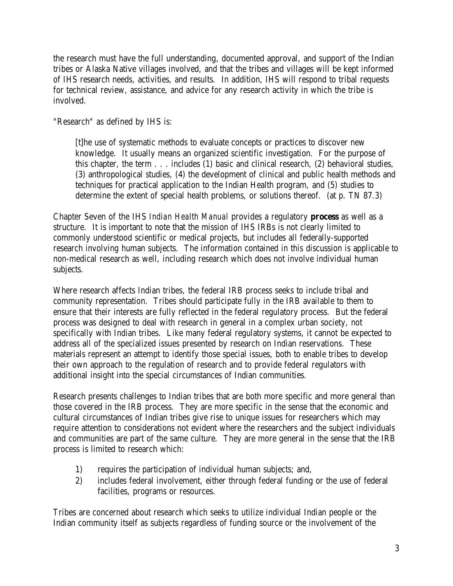the research must have the full understanding, documented approval, and support of the Indian tribes or Alaska Native villages involved, and that the tribes and villages will be kept informed of IHS research needs, activities, and results. In addition, IHS will respond to tribal requests for technical review, assistance, and advice for any research activity in which the tribe is involved.

"Research" as defined by IHS is:

[t]he use of systematic methods to evaluate concepts or practices to discover new knowledge. It usually means an organized scientific investigation. For the purpose of this chapter, the term . . . includes (1) basic and clinical research, (2) behavioral studies, (3) anthropological studies, (4) the development of clinical and public health methods and techniques for practical application to the Indian Health program, and (5) studies to determine the extent of special health problems, or solutions thereof. (at p. TN 87.3)

Chapter Seven of the IHS *Indian Health Manual* provides a regulatory **process** as well as a structure. It is important to note that the mission of IHS IRBs is not clearly limited to commonly understood scientific or medical projects, but includes all federally-supported research involving human subjects. The information contained in this discussion is applicable to non-medical research as well, including research which does not involve individual human subjects.

Where research affects Indian tribes, the federal IRB process seeks to include tribal and community representation. Tribes should participate fully in the IRB available to them to ensure that their interests are fully reflected in the federal regulatory process. But the federal process was designed to deal with research in general in a complex urban society, not specifically with Indian tribes. Like many federal regulatory systems, it cannot be expected to address all of the specialized issues presented by research on Indian reservations. These materials represent an attempt to identify those special issues, both to enable tribes to develop their own approach to the regulation of research and to provide federal regulators with additional insight into the special circumstances of Indian communities.

Research presents challenges to Indian tribes that are both more specific and more general than those covered in the IRB process. They are more specific in the sense that the economic and cultural circumstances of Indian tribes give rise to unique issues for researchers which may require attention to considerations not evident where the researchers and the subject individuals and communities are part of the same culture. They are more general in the sense that the IRB process is limited to research which:

- 1) requires the participation of individual human subjects; and,
- 2) includes federal involvement, either through federal funding or the use of federal facilities, programs or resources.

Tribes are concerned about research which seeks to utilize individual Indian people or the Indian community itself as subjects regardless of funding source or the involvement of the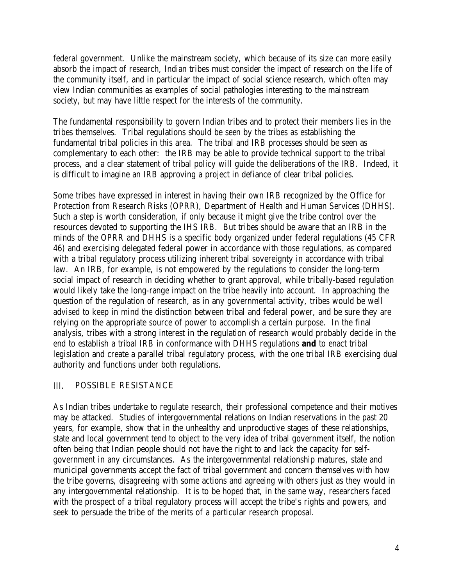federal government. Unlike the mainstream society, which because of its size can more easily absorb the impact of research, Indian tribes must consider the impact of research on the life of the community itself, and in particular the impact of social science research, which often may view Indian communities as examples of social pathologies interesting to the mainstream society, but may have little respect for the interests of the community.

The fundamental responsibility to govern Indian tribes and to protect their members lies in the tribes themselves. Tribal regulations should be seen by the tribes as establishing the fundamental tribal policies in this area. The tribal and IRB processes should be seen as complementary to each other: the IRB may be able to provide technical support to the tribal process, and a clear statement of tribal policy will guide the deliberations of the IRB. Indeed, it is difficult to imagine an IRB approving a project in defiance of clear tribal policies.

Some tribes have expressed in interest in having their own IRB recognized by the Office for Protection from Research Risks (OPRR), Department of Health and Human Services (DHHS). Such a step is worth consideration, if only because it might give the tribe control over the resources devoted to supporting the IHS IRB. But tribes should be aware that an IRB in the minds of the OPRR and DHHS is a specific body organized under federal regulations (45 CFR 46) and exercising delegated federal power in accordance with those regulations, as compared with a tribal regulatory process utilizing inherent tribal sovereignty in accordance with tribal law. An IRB, for example, is not empowered by the regulations to consider the long-term social impact of research in deciding whether to grant approval, while tribally-based regulation would likely take the long-range impact on the tribe heavily into account. In approaching the question of the regulation of research, as in any governmental activity, tribes would be well advised to keep in mind the distinction between tribal and federal power, and be sure they are relying on the appropriate source of power to accomplish a certain purpose. In the final analysis, tribes with a strong interest in the regulation of research would probably decide in the end to establish a tribal IRB in conformance with DHHS regulations **and** to enact tribal legislation and create a parallel tribal regulatory process, with the one tribal IRB exercising dual authority and functions under both regulations.

#### III. POSSIBLE RESISTANCE

As Indian tribes undertake to regulate research, their professional competence and their motives may be attacked. Studies of intergovernmental relations on Indian reservations in the past 20 years, for example, show that in the unhealthy and unproductive stages of these relationships, state and local government tend to object to the very idea of tribal government itself, the notion often being that Indian people should not have the right to and lack the capacity for selfgovernment in any circumstances. As the intergovernmental relationship matures, state and municipal governments accept the fact of tribal government and concern themselves with how the tribe governs, disagreeing with some actions and agreeing with others just as they would in any intergovernmental relationship. It is to be hoped that, in the same way, researchers faced with the prospect of a tribal regulatory process will accept the tribe's rights and powers, and seek to persuade the tribe of the merits of a particular research proposal.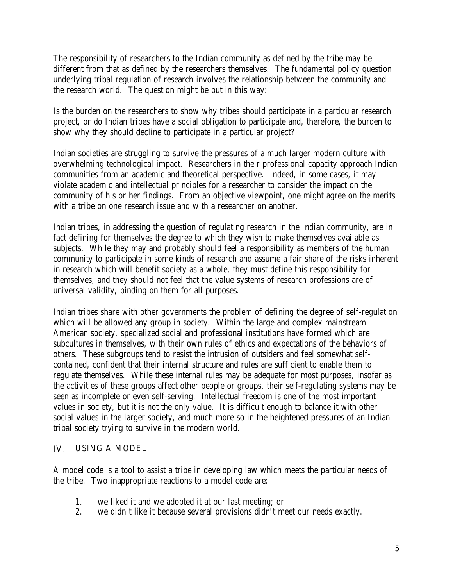The responsibility of researchers to the Indian community as defined by the tribe may be different from that as defined by the researchers themselves. The fundamental policy question underlying tribal regulation of research involves the relationship between the community and the research world. The question might be put in this way:

Is the burden on the researchers to show why tribes should participate in a particular research project, or do Indian tribes have a social obligation to participate and, therefore, the burden to show why they should decline to participate in a particular project?

Indian societies are struggling to survive the pressures of a much larger modern culture with overwhelming technological impact. Researchers in their professional capacity approach Indian communities from an academic and theoretical perspective. Indeed, in some cases, it may violate academic and intellectual principles for a researcher to consider the impact on the community of his or her findings. From an objective viewpoint, one might agree on the merits with a tribe on one research issue and with a researcher on another.

Indian tribes, in addressing the question of regulating research in the Indian community, are in fact defining for themselves the degree to which they wish to make themselves available as subjects. While they may and probably should feel a responsibility as members of the human community to participate in some kinds of research and assume a fair share of the risks inherent in research which will benefit society as a whole, they must define this responsibility for themselves, and they should not feel that the value systems of research professions are of universal validity, binding on them for all purposes.

Indian tribes share with other governments the problem of defining the degree of self-regulation which will be allowed any group in society. Within the large and complex mainstream American society, specialized social and professional institutions have formed which are subcultures in themselves, with their own rules of ethics and expectations of the behaviors of others. These subgroups tend to resist the intrusion of outsiders and feel somewhat selfcontained, confident that their internal structure and rules are sufficient to enable them to regulate themselves. While these internal rules may be adequate for most purposes, insofar as the activities of these groups affect other people or groups, their self-regulating systems may be seen as incomplete or even self-serving. Intellectual freedom is one of the most important values in society, but it is not the only value. It is difficult enough to balance it with other social values in the larger society, and much more so in the heightened pressures of an Indian tribal society trying to survive in the modern world.

#### IV. USING A MODEL

A model code is a tool to assist a tribe in developing law which meets the particular needs of the tribe. Two inappropriate reactions to a model code are:

- 1. we liked it and we adopted it at our last meeting; or
- 2. we didn't like it because several provisions didn't meet our needs exactly.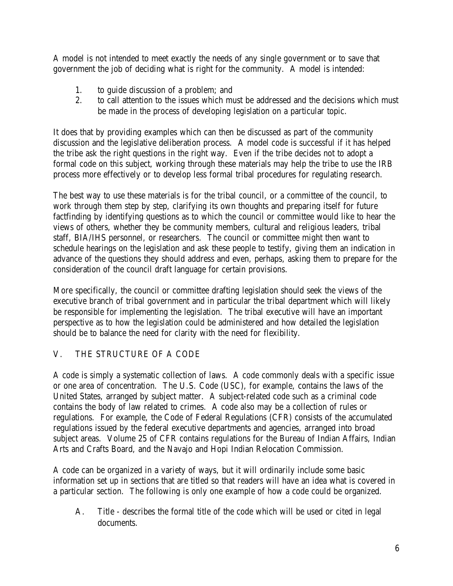A model is not intended to meet exactly the needs of any single government or to save that government the job of deciding what is right for the community. A model is intended:

- 1. to guide discussion of a problem; and
- 2. to call attention to the issues which must be addressed and the decisions which must be made in the process of developing legislation on a particular topic.

It does that by providing examples which can then be discussed as part of the community discussion and the legislative deliberation process. A model code is successful if it has helped the tribe ask the right questions in the right way. Even if the tribe decides not to adopt a formal code on this subject, working through these materials may help the tribe to use the IRB process more effectively or to develop less formal tribal procedures for regulating research.

The best way to use these materials is for the tribal council, or a committee of the council, to work through them step by step, clarifying its own thoughts and preparing itself for future factfinding by identifying questions as to which the council or committee would like to hear the views of others, whether they be community members, cultural and religious leaders, tribal staff, BIA/IHS personnel, or researchers. The council or committee might then want to schedule hearings on the legislation and ask these people to testify, giving them an indication in advance of the questions they should address and even, perhaps, asking them to prepare for the consideration of the council draft language for certain provisions.

More specifically, the council or committee drafting legislation should seek the views of the executive branch of tribal government and in particular the tribal department which will likely be responsible for implementing the legislation. The tribal executive will have an important perspective as to how the legislation could be administered and how detailed the legislation should be to balance the need for clarity with the need for flexibility.

# V. THE STRUCTURE OF A CODE

A code is simply a systematic collection of laws. A code commonly deals with a specific issue or one area of concentration. The U.S. Code (USC), for example, contains the laws of the United States, arranged by subject matter. A subject-related code such as a criminal code contains the body of law related to crimes. A code also may be a collection of rules or regulations. For example, the Code of Federal Regulations (CFR) consists of the accumulated regulations issued by the federal executive departments and agencies, arranged into broad subject areas. Volume 25 of CFR contains regulations for the Bureau of Indian Affairs, Indian Arts and Crafts Board, and the Navajo and Hopi Indian Relocation Commission.

A code can be organized in a variety of ways, but it will ordinarily include some basic information set up in sections that are titled so that readers will have an idea what is covered in a particular section. The following is only one example of how a code could be organized.

A. Title - describes the formal title of the code which will be used or cited in legal documents.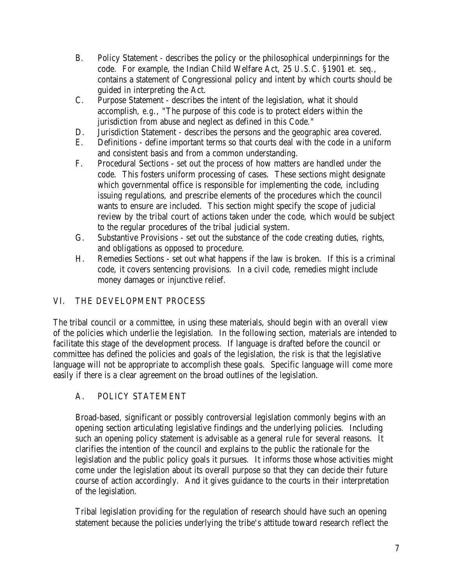- B. Policy Statement describes the policy or the philosophical underpinnings for the code. For example, the Indian Child Welfare Act, 25 *U.S.C.* §1901 *et. seq.*, contains a statement of Congressional policy and intent by which courts should be guided in interpreting the Act.
- C. Purpose Statement describes the intent of the legislation, what it should accomplish, *e.g.*, "The purpose of this code is to protect elders within the jurisdiction from abuse and neglect as defined in this Code."
- D. Jurisdiction Statement describes the persons and the geographic area covered.
- E. Definitions define important terms so that courts deal with the code in a uniform and consistent basis and from a common understanding.
- F. Procedural Sections set out the process of how matters are handled under the code. This fosters uniform processing of cases. These sections might designate which governmental office is responsible for implementing the code, including issuing regulations, and prescribe elements of the procedures which the council wants to ensure are included. This section might specify the scope of judicial review by the tribal court of actions taken under the code, which would be subject to the regular procedures of the tribal judicial system.
- G. Substantive Provisions set out the substance of the code creating duties, rights, and obligations as opposed to procedure.
- H. Remedies Sections set out what happens if the law is broken. If this is a criminal code, it covers sentencing provisions. In a civil code, remedies might include money damages or injunctive relief.

# VI. THE DEVELOPMENT PROCESS

The tribal council or a committee, in using these materials, should begin with an overall view of the policies which underlie the legislation. In the following section, materials are intended to facilitate this stage of the development process. If language is drafted before the council or committee has defined the policies and goals of the legislation, the risk is that the legislative language will not be appropriate to accomplish these goals. Specific language will come more easily if there is a clear agreement on the broad outlines of the legislation.

## A. POLICY STATEMENT

Broad-based, significant or possibly controversial legislation commonly begins with an opening section articulating legislative findings and the underlying policies. Including such an opening policy statement is advisable as a general rule for several reasons. It clarifies the intention of the council and explains to the public the rationale for the legislation and the public policy goals it pursues. It informs those whose activities might come under the legislation about its overall purpose so that they can decide their future course of action accordingly. And it gives guidance to the courts in their interpretation of the legislation.

Tribal legislation providing for the regulation of research should have such an opening statement because the policies underlying the tribe's attitude toward research reflect the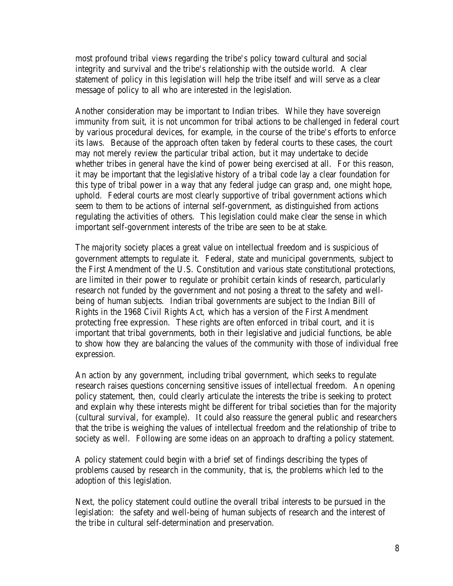most profound tribal views regarding the tribe's policy toward cultural and social integrity and survival and the tribe's relationship with the outside world. A clear statement of policy in this legislation will help the tribe itself and will serve as a clear message of policy to all who are interested in the legislation.

Another consideration may be important to Indian tribes. While they have sovereign immunity from suit, it is not uncommon for tribal actions to be challenged in federal court by various procedural devices, for example, in the course of the tribe's efforts to enforce its laws. Because of the approach often taken by federal courts to these cases, the court may not merely review the particular tribal action, but it may undertake to decide whether tribes in general have the kind of power being exercised at all. For this reason, it may be important that the legislative history of a tribal code lay a clear foundation for this type of tribal power in a way that any federal judge can grasp and, one might hope, uphold. Federal courts are most clearly supportive of tribal government actions which seem to them to be actions of internal self-government, as distinguished from actions regulating the activities of others. This legislation could make clear the sense in which important self-government interests of the tribe are seen to be at stake.

The majority society places a great value on intellectual freedom and is suspicious of government attempts to regulate it. Federal, state and municipal governments, subject to the First Amendment of the U.S. Constitution and various state constitutional protections, are limited in their power to regulate or prohibit certain kinds of research, particularly research not funded by the government and not posing a threat to the safety and wellbeing of human subjects. Indian tribal governments are subject to the Indian Bill of Rights in the 1968 Civil Rights Act, which has a version of the First Amendment protecting free expression. These rights are often enforced in tribal court, and it is important that tribal governments, both in their legislative and judicial functions, be able to show how they are balancing the values of the community with those of individual free expression.

An action by any government, including tribal government, which seeks to regulate research raises questions concerning sensitive issues of intellectual freedom. An opening policy statement, then, could clearly articulate the interests the tribe is seeking to protect and explain why these interests might be different for tribal societies than for the majority (cultural survival, for example). It could also reassure the general public and researchers that the tribe is weighing the values of intellectual freedom and the relationship of tribe to society as well. Following are some ideas on an approach to drafting a policy statement.

A policy statement could begin with a brief set of findings describing the types of problems caused by research in the community, that is, the problems which led to the adoption of this legislation.

Next, the policy statement could outline the overall tribal interests to be pursued in the legislation: the safety and well-being of human subjects of research and the interest of the tribe in cultural self-determination and preservation.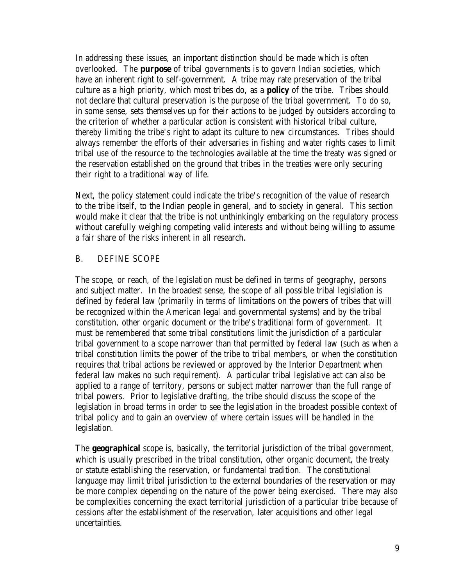In addressing these issues, an important distinction should be made which is often overlooked. The **purpose** of tribal governments is to govern Indian societies, which have an inherent right to self-government. A tribe may rate preservation of the tribal culture as a high priority, which most tribes do, as a **policy** of the tribe. Tribes should not declare that cultural preservation is the purpose of the tribal government. To do so, in some sense, sets themselves up for their actions to be judged by outsiders according to the criterion of whether a particular action is consistent with historical tribal culture, thereby limiting the tribe's right to adapt its culture to new circumstances. Tribes should always remember the efforts of their adversaries in fishing and water rights cases to limit tribal use of the resource to the technologies available at the time the treaty was signed or the reservation established on the ground that tribes in the treaties were only securing their right to a traditional way of life.

Next, the policy statement could indicate the tribe's recognition of the value of research to the tribe itself, to the Indian people in general, and to society in general. This section would make it clear that the tribe is not unthinkingly embarking on the regulatory process without carefully weighing competing valid interests and without being willing to assume a fair share of the risks inherent in all research.

## B. DEFINE SCOPE

The scope, or reach, of the legislation must be defined in terms of geography, persons and subject matter. In the broadest sense, the scope of all possible tribal legislation is defined by federal law (primarily in terms of limitations on the powers of tribes that will be recognized within the American legal and governmental systems) and by the tribal constitution, other organic document or the tribe's traditional form of government. It must be remembered that some tribal constitutions limit the jurisdiction of a particular tribal government to a scope narrower than that permitted by federal law (such as when a tribal constitution limits the power of the tribe to tribal members, or when the constitution requires that tribal actions be reviewed or approved by the Interior Department when federal law makes no such requirement). A particular tribal legislative act can also be applied to a range of territory, persons or subject matter narrower than the full range of tribal powers. Prior to legislative drafting, the tribe should discuss the scope of the legislation in broad terms in order to see the legislation in the broadest possible context of tribal policy and to gain an overview of where certain issues will be handled in the legislation.

The **geographical** scope is, basically, the territorial jurisdiction of the tribal government, which is usually prescribed in the tribal constitution, other organic document, the treaty or statute establishing the reservation, or fundamental tradition. The constitutional language may limit tribal jurisdiction to the external boundaries of the reservation or may be more complex depending on the nature of the power being exercised. There may also be complexities concerning the exact territorial jurisdiction of a particular tribe because of cessions after the establishment of the reservation, later acquisitions and other legal uncertainties.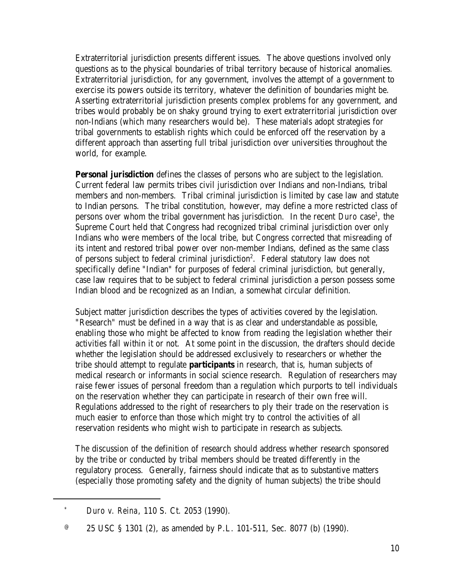Extraterritorial jurisdiction presents different issues. The above questions involved only questions as to the physical boundaries of tribal territory because of historical anomalies. Extraterritorial jurisdiction, for any government, involves the attempt of a government to exercise its powers outside its territory, whatever the definition of boundaries might be. Asserting extraterritorial jurisdiction presents complex problems for any government, and tribes would probably be on shaky ground trying to exert extraterritorial jurisdiction over non-Indians (which many researchers would be). These materials adopt strategies for tribal governments to establish rights which could be enforced off the reservation by a different approach than asserting full tribal jurisdiction over universities throughout the world, for example.

**Personal jurisdiction** defines the classes of persons who are subject to the legislation. Current federal law permits tribes civil jurisdiction over Indians and non-Indians, tribal members and non-members. Tribal criminal jurisdiction is limited by case law and statute to Indian persons. The tribal constitution, however, may define a more restricted class of persons over whom the tribal government has jurisdiction. In the recent *Duro* case<sup>1</sup>, the Supreme Court held that Congress had recognized tribal criminal jurisdiction over only Indians who were members of the local tribe, but Congress corrected that misreading of its intent and restored tribal power over non-member Indians, defined as the same class of persons subject to federal criminal jurisdiction<sup>2</sup>. Federal statutory law does not specifically define "Indian" for purposes of federal criminal jurisdiction, but generally, case law requires that to be subject to federal criminal jurisdiction a person possess some Indian blood and be recognized as an Indian, a somewhat circular definition.

Subject matter jurisdiction describes the types of activities covered by the legislation. "Research" must be defined in a way that is as clear and understandable as possible, enabling those who might be affected to know from reading the legislation whether their activities fall within it or not. At some point in the discussion, the drafters should decide whether the legislation should be addressed exclusively to researchers or whether the tribe should attempt to regulate **participants** in research, that is, human subjects of medical research or informants in social science research. Regulation of researchers may raise fewer issues of personal freedom than a regulation which purports to tell individuals on the reservation whether they can participate in research of their own free will. Regulations addressed to the right of researchers to ply their trade on the reservation is much easier to enforce than those which might try to control the activities of all reservation residents who might wish to participate in research as subjects.

The discussion of the definition of research should address whether research sponsored by the tribe or conducted by tribal members should be treated differently in the regulatory process. Generally, fairness should indicate that as to substantive matters (especially those promoting safety and the dignity of human subjects) the tribe should

<sup>\*</sup> *Duro v. Reina*, 110 S. Ct. 2053 (1990).

 $\degree$  25 USC § 1301 (2), as amended by P.L. 101-511, Sec. 8077 (b) (1990).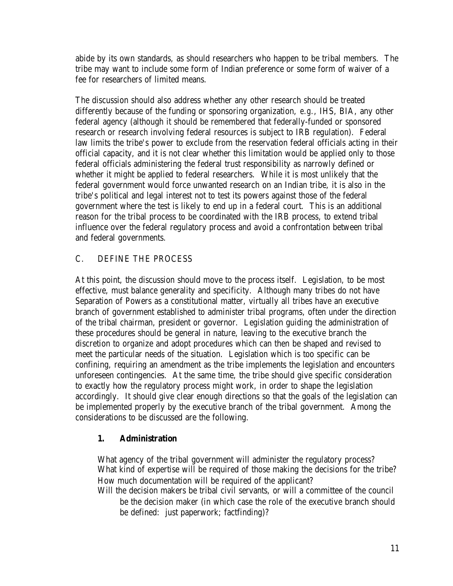abide by its own standards, as should researchers who happen to be tribal members. The tribe may want to include some form of Indian preference or some form of waiver of a fee for researchers of limited means.

The discussion should also address whether any other research should be treated differently because of the funding or sponsoring organization, *e.g.*, IHS, BIA, any other federal agency (although it should be remembered that federally-funded or sponsored research or research involving federal resources is subject to IRB regulation). Federal law limits the tribe's power to exclude from the reservation federal officials acting in their official capacity, and it is not clear whether this limitation would be applied only to those federal officials administering the federal trust responsibility as narrowly defined or whether it might be applied to federal researchers. While it is most unlikely that the federal government would force unwanted research on an Indian tribe, it is also in the tribe's political and legal interest not to test its powers against those of the federal government where the test is likely to end up in a federal court. This is an additional reason for the tribal process to be coordinated with the IRB process, to extend tribal influence over the federal regulatory process and avoid a confrontation between tribal and federal governments.

## C. DEFINE THE PROCESS

At this point, the discussion should move to the process itself. Legislation, to be most effective, must balance generality and specificity. Although many tribes do not have Separation of Powers as a constitutional matter, virtually all tribes have an executive branch of government established to administer tribal programs, often under the direction of the tribal chairman, president or governor. Legislation guiding the administration of these procedures should be general in nature, leaving to the executive branch the discretion to organize and adopt procedures which can then be shaped and revised to meet the particular needs of the situation. Legislation which is too specific can be confining, requiring an amendment as the tribe implements the legislation and encounters unforeseen contingencies. At the same time, the tribe should give specific consideration to exactly how the regulatory process might work, in order to shape the legislation accordingly. It should give clear enough directions so that the goals of the legislation can be implemented properly by the executive branch of the tribal government. Among the considerations to be discussed are the following.

## **1. Administration**

What agency of the tribal government will administer the regulatory process? What kind of expertise will be required of those making the decisions for the tribe? How much documentation will be required of the applicant?

Will the decision makers be tribal civil servants, or will a committee of the council be the decision maker (in which case the role of the executive branch should be defined: just paperwork; factfinding)?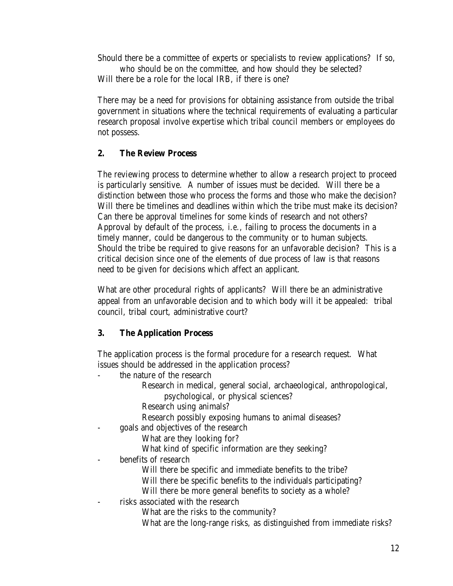Should there be a committee of experts or specialists to review applications? If so, who should be on the committee, and how should they be selected? Will there be a role for the local IRB, if there is one?

There may be a need for provisions for obtaining assistance from outside the tribal government in situations where the technical requirements of evaluating a particular research proposal involve expertise which tribal council members or employees do not possess.

## **2. The Review Process**

The reviewing process to determine whether to allow a research project to proceed is particularly sensitive. A number of issues must be decided. Will there be a distinction between those who process the forms and those who make the decision? Will there be timelines and deadlines within which the tribe must make its decision? Can there be approval timelines for some kinds of research and not others? Approval by default of the process, *i.e.*, failing to process the documents in a timely manner, could be dangerous to the community or to human subjects. Should the tribe be required to give reasons for an unfavorable decision? This is a critical decision since one of the elements of due process of law is that reasons need to be given for decisions which affect an applicant.

What are other procedural rights of applicants? Will there be an administrative appeal from an unfavorable decision and to which body will it be appealed: tribal council, tribal court, administrative court?

## **3. The Application Process**

The application process is the formal procedure for a research request. What issues should be addressed in the application process?

the nature of the research

Research in medical, general social, archaeological, anthropological,

psychological, or physical sciences?

Research using animals?

Research possibly exposing humans to animal diseases?

- goals and objectives of the research

What are they looking for?

What kind of specific information are they seeking?

benefits of research

Will there be specific and immediate benefits to the tribe?

Will there be specific benefits to the individuals participating?

Will there be more general benefits to society as a whole?

risks associated with the research

What are the risks to the community?

What are the long-range risks, as distinguished from immediate risks?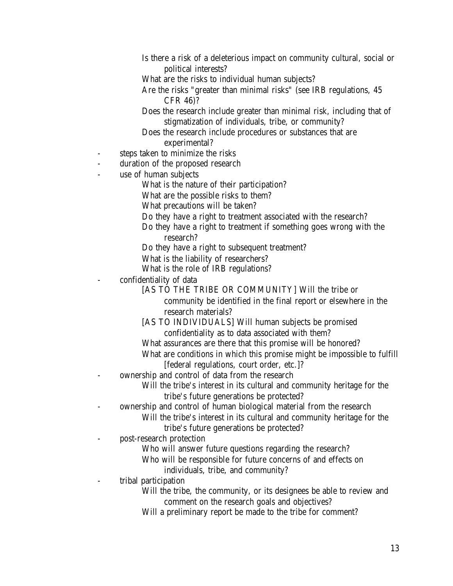- Is there a risk of a deleterious impact on community cultural, social or political interests?
- What are the risks to individual human subjects?
- Are the risks "greater than minimal risks" (see IRB regulations, 45 CFR 46)?
- Does the research include greater than minimal risk, including that of stigmatization of individuals, tribe, or community?
- Does the research include procedures or substances that are experimental?
- steps taken to minimize the risks
- duration of the proposed research
- use of human subjects
	- What is the nature of their participation?
	- What are the possible risks to them?
	- What precautions will be taken?
	- Do they have a right to treatment associated with the research?
	- Do they have a right to treatment if something goes wrong with the
		- research?
	- Do they have a right to subsequent treatment?
	- What is the liability of researchers?
	- What is the role of IRB regulations?
	- confidentiality of data
		- [AS TO THE TRIBE OR COMMUNITY] Will the tribe or

community be identified in the final report or elsewhere in the research materials?

- [AS TO INDIVIDUALS] Will human subjects be promised confidentiality as to data associated with them?
- What assurances are there that this promise will be honored?
- What are conditions in which this promise might be impossible to fulfill [federal regulations, court order, etc.]?
- ownership and control of data from the research
	- Will the tribe's interest in its cultural and community heritage for the tribe's future generations be protected?
- ownership and control of human biological material from the research
	- Will the tribe's interest in its cultural and community heritage for the
		- tribe's future generations be protected?
- post-research protection
	- Who will answer future questions regarding the research?
	- Who will be responsible for future concerns of and effects on
		- individuals, tribe, and community?
- tribal participation
	- Will the tribe, the community, or its designees be able to review and comment on the research goals and objectives?
	- Will a preliminary report be made to the tribe for comment?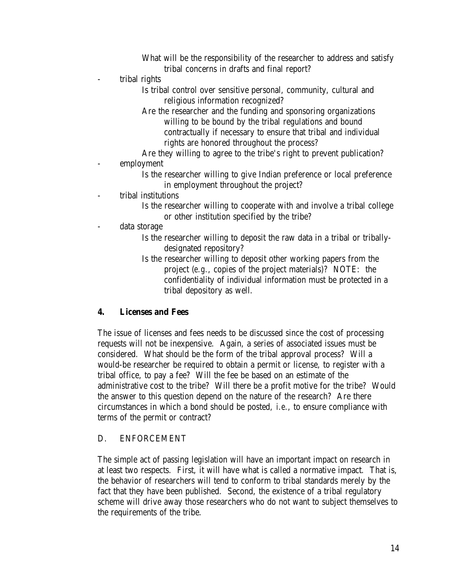What will be the responsibility of the researcher to address and satisfy tribal concerns in drafts and final report?

- tribal rights

Is tribal control over sensitive personal, community, cultural and religious information recognized?

Are the researcher and the funding and sponsoring organizations willing to be bound by the tribal regulations and bound contractually if necessary to ensure that tribal and individual rights are honored throughout the process?

Are they willing to agree to the tribe's right to prevent publication? employment

> Is the researcher willing to give Indian preference or local preference in employment throughout the project?

tribal institutions

Is the researcher willing to cooperate with and involve a tribal college or other institution specified by the tribe?

data storage

- Is the researcher willing to deposit the raw data in a tribal or triballydesignated repository?
- Is the researcher willing to deposit other working papers from the project (*e.g.*, copies of the project materials)? NOTE: the confidentiality of individual information must be protected in a tribal depository as well.

#### **4. Licenses and Fees**

The issue of licenses and fees needs to be discussed since the cost of processing requests will not be inexpensive. Again, a series of associated issues must be considered. What should be the form of the tribal approval process? Will a would-be researcher be required to obtain a permit or license, to register with a tribal office, to pay a fee? Will the fee be based on an estimate of the administrative cost to the tribe? Will there be a profit motive for the tribe? Would the answer to this question depend on the nature of the research? Are there circumstances in which a bond should be posted, *i.e.*, to ensure compliance with terms of the permit or contract?

#### D. ENFORCEMENT

The simple act of passing legislation will have an important impact on research in at least two respects. First, it will have what is called a normative impact. That is, the behavior of researchers will tend to conform to tribal standards merely by the fact that they have been published. Second, the existence of a tribal regulatory scheme will drive away those researchers who do not want to subject themselves to the requirements of the tribe.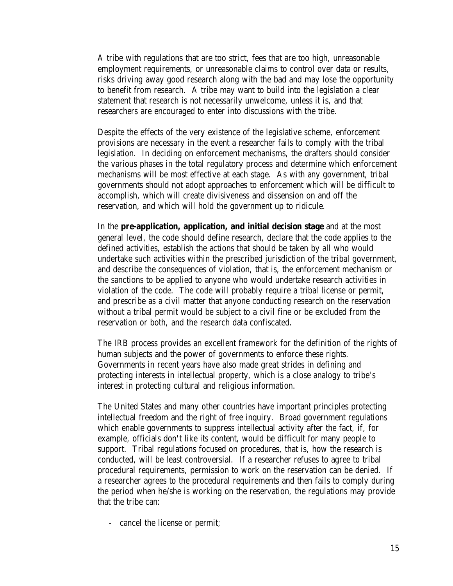A tribe with regulations that are too strict, fees that are too high, unreasonable employment requirements, or unreasonable claims to control over data or results, risks driving away good research along with the bad and may lose the opportunity to benefit from research. A tribe may want to build into the legislation a clear statement that research is not necessarily unwelcome, unless it is, and that researchers are encouraged to enter into discussions with the tribe.

Despite the effects of the very existence of the legislative scheme, enforcement provisions are necessary in the event a researcher fails to comply with the tribal legislation. In deciding on enforcement mechanisms, the drafters should consider the various phases in the total regulatory process and determine which enforcement mechanisms will be most effective at each stage. As with any government, tribal governments should not adopt approaches to enforcement which will be difficult to accomplish, which will create divisiveness and dissension on and off the reservation, and which will hold the government up to ridicule.

In the **pre-application, application, and initial decision stage** and at the most general level, the code should define research, declare that the code applies to the defined activities, establish the actions that should be taken by all who would undertake such activities within the prescribed jurisdiction of the tribal government, and describe the consequences of violation, that is, the enforcement mechanism or the sanctions to be applied to anyone who would undertake research activities in violation of the code. The code will probably require a tribal license or permit, and prescribe as a civil matter that anyone conducting research on the reservation without a tribal permit would be subject to a civil fine or be excluded from the reservation or both, and the research data confiscated.

The IRB process provides an excellent framework for the definition of the rights of human subjects and the power of governments to enforce these rights. Governments in recent years have also made great strides in defining and protecting interests in intellectual property, which is a close analogy to tribe's interest in protecting cultural and religious information.

The United States and many other countries have important principles protecting intellectual freedom and the right of free inquiry. Broad government regulations which enable governments to suppress intellectual activity after the fact, if, for example, officials don't like its content, would be difficult for many people to support. Tribal regulations focused on procedures, that is, how the research is conducted, will be least controversial. If a researcher refuses to agree to tribal procedural requirements, permission to work on the reservation can be denied. If a researcher agrees to the procedural requirements and then fails to comply during the period when he/she is working on the reservation, the regulations may provide that the tribe can:

- cancel the license or permit;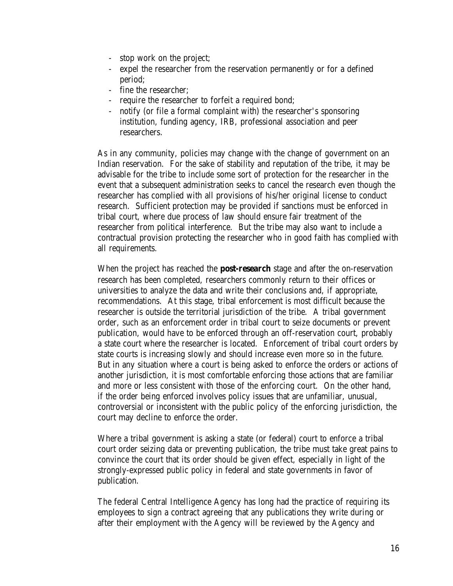- stop work on the project;
- expel the researcher from the reservation permanently or for a defined period;
- fine the researcher;
- require the researcher to forfeit a required bond;
- notify (or file a formal complaint with) the researcher's sponsoring institution, funding agency, IRB, professional association and peer researchers.

As in any community, policies may change with the change of government on an Indian reservation. For the sake of stability and reputation of the tribe, it may be advisable for the tribe to include some sort of protection for the researcher in the event that a subsequent administration seeks to cancel the research even though the researcher has complied with all provisions of his/her original license to conduct research. Sufficient protection may be provided if sanctions must be enforced in tribal court, where due process of law should ensure fair treatment of the researcher from political interference. But the tribe may also want to include a contractual provision protecting the researcher who in good faith has complied with all requirements.

When the project has reached the **post-research** stage and after the on-reservation research has been completed, researchers commonly return to their offices or universities to analyze the data and write their conclusions and, if appropriate, recommendations. At this stage, tribal enforcement is most difficult because the researcher is outside the territorial jurisdiction of the tribe. A tribal government order, such as an enforcement order in tribal court to seize documents or prevent publication, would have to be enforced through an off-reservation court, probably a state court where the researcher is located. Enforcement of tribal court orders by state courts is increasing slowly and should increase even more so in the future. But in any situation where a court is being asked to enforce the orders or actions of another jurisdiction, it is most comfortable enforcing those actions that are familiar and more or less consistent with those of the enforcing court. On the other hand, if the order being enforced involves policy issues that are unfamiliar, unusual, controversial or inconsistent with the public policy of the enforcing jurisdiction, the court may decline to enforce the order.

Where a tribal government is asking a state (or federal) court to enforce a tribal court order seizing data or preventing publication, the tribe must take great pains to convince the court that its order should be given effect, especially in light of the strongly-expressed public policy in federal and state governments in favor of publication.

The federal Central Intelligence Agency has long had the practice of requiring its employees to sign a contract agreeing that any publications they write during or after their employment with the Agency will be reviewed by the Agency and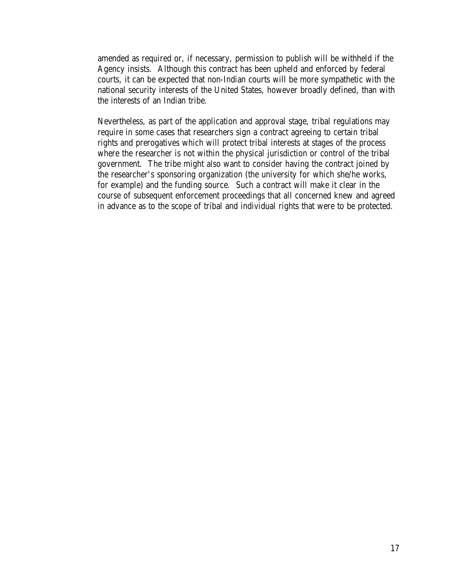amended as required or, if necessary, permission to publish will be withheld if the Agency insists. Although this contract has been upheld and enforced by federal courts, it can be expected that non-Indian courts will be more sympathetic with the national security interests of the United States, however broadly defined, than with the interests of an Indian tribe.

Nevertheless, as part of the application and approval stage, tribal regulations may require in some cases that researchers sign a contract agreeing to certain tribal rights and prerogatives which will protect tribal interests at stages of the process where the researcher is not within the physical jurisdiction or control of the tribal government. The tribe might also want to consider having the contract joined by the researcher's sponsoring organization (the university for which she/he works, for example) and the funding source. Such a contract will make it clear in the course of subsequent enforcement proceedings that all concerned knew and agreed in advance as to the scope of tribal and individual rights that were to be protected.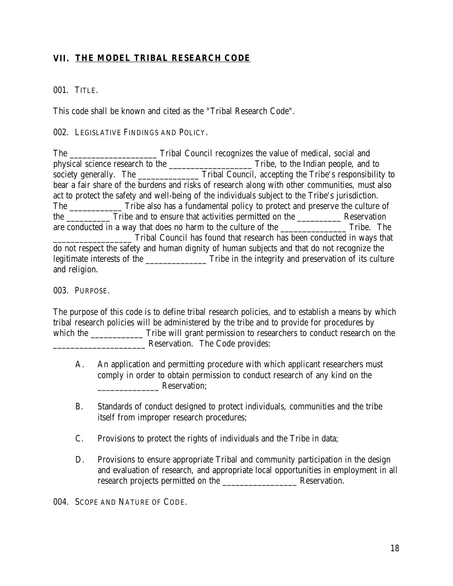## **VII. THE MODEL TRIBAL RESEARCH CODE**

#### 001. TITLE.

This code shall be known and cited as the "Tribal Research Code".

002. LEGISLATIVE FINDINGS AND POLICY.

The Tribal Council recognizes the value of medical, social and physical science research to the \_\_\_\_\_\_\_\_\_\_\_\_\_\_\_\_\_\_\_\_\_\_\_\_\_\_\_Tribe, to the Indian people, and to society generally. The \_\_\_\_\_\_\_\_\_\_\_\_\_\_\_\_ Tribal Council, accepting the Tribe's responsibility to bear a fair share of the burdens and risks of research along with other communities, must also act to protect the safety and well-being of the individuals subject to the Tribe's jurisdiction. The Tribe also has a fundamental policy to protect and preserve the culture of the \_\_\_\_\_\_\_\_\_\_ Tribe and to ensure that activities permitted on the \_\_\_\_\_\_\_\_\_\_ Reservation are conducted in a way that does no harm to the culture of the Tribe. The Tribe. \_\_\_\_\_\_\_\_\_\_\_\_\_\_\_\_\_\_ Tribal Council has found that research has been conducted in ways that do not respect the safety and human dignity of human subjects and that do not recognize the legitimate interests of the \_\_\_\_\_\_\_\_\_\_\_\_\_\_\_\_\_\_\_ Tribe in the integrity and preservation of its culture and religion.

003. PURPOSE.

The purpose of this code is to define tribal research policies, and to establish a means by which tribal research policies will be administered by the tribe and to provide for procedures by which the \_\_\_\_\_\_\_\_\_\_\_\_\_\_\_ Tribe will grant permission to researchers to conduct research on the \_\_\_\_\_\_\_\_\_\_\_\_\_\_\_\_\_\_\_\_\_ Reservation. The Code provides:

- A. An application and permitting procedure with which applicant researchers must comply in order to obtain permission to conduct research of any kind on the exervation:
- B. Standards of conduct designed to protect individuals, communities and the tribe itself from improper research procedures;
- C. Provisions to protect the rights of individuals and the Tribe in data;
- D. Provisions to ensure appropriate Tribal and community participation in the design and evaluation of research, and appropriate local opportunities in employment in all research projects permitted on the \_\_\_\_\_\_\_\_\_\_\_\_\_\_\_\_\_ Reservation.

004. SCOPE AND NATURE OF CODE.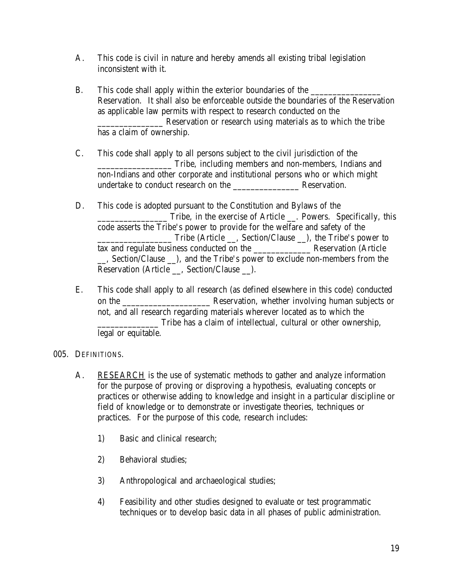- A. This code is civil in nature and hereby amends all existing tribal legislation inconsistent with it.
- B. This code shall apply within the exterior boundaries of the Reservation. It shall also be enforceable outside the boundaries of the Reservation as applicable law permits with respect to research conducted on the \_\_\_\_\_\_\_\_\_\_\_\_\_\_\_ Reservation or research using materials as to which the tribe has a claim of ownership.
- C. This code shall apply to all persons subject to the civil jurisdiction of the \_\_\_\_\_\_\_\_\_\_\_\_\_\_\_\_\_ Tribe, including members and non-members, Indians and non-Indians and other corporate and institutional persons who or which might undertake to conduct research on the \_\_\_\_\_\_\_\_\_\_\_\_\_\_\_ Reservation.
- D. This code is adopted pursuant to the Constitution and Bylaws of the \_\_\_\_\_\_\_\_\_\_\_\_\_\_\_\_ Tribe, in the exercise of Article \_\_. Powers. Specifically, this code asserts the Tribe's power to provide for the welfare and safety of the Tribe (Article \_\_, Section/Clause \_\_), the Tribe's power to tax and regulate business conducted on the Reservation (Article \_\_, Section/Clause \_\_), and the Tribe's power to exclude non-members from the Reservation (Article \_\_, Section/Clause \_\_).
- E. This code shall apply to all research (as defined elsewhere in this code) conducted on the \_\_\_\_\_\_\_\_\_\_\_\_\_\_\_\_\_\_\_\_ Reservation, whether involving human subjects or not, and all research regarding materials wherever located as to which the \_\_\_\_\_\_\_\_\_\_\_\_\_\_ Tribe has a claim of intellectual, cultural or other ownership, legal or equitable.

#### 005. DEFINITIONS.

- A. RESEARCH is the use of systematic methods to gather and analyze information for the purpose of proving or disproving a hypothesis, evaluating concepts or practices or otherwise adding to knowledge and insight in a particular discipline or field of knowledge or to demonstrate or investigate theories, techniques or practices. For the purpose of this code, research includes:
	- 1) Basic and clinical research;
	- 2) Behavioral studies;
	- 3) Anthropological and archaeological studies;
	- 4) Feasibility and other studies designed to evaluate or test programmatic techniques or to develop basic data in all phases of public administration.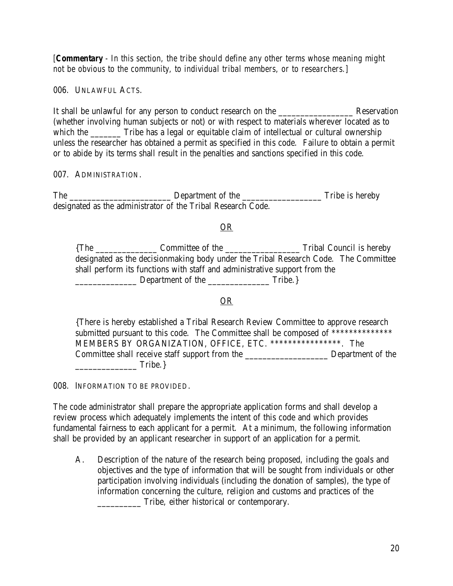*[Commentary - In this section, the tribe should define any other terms whose meaning might not be obvious to the community, to individual tribal members, or to researchers.]* 

006. UNLAWFUL ACTS.

It shall be unlawful for any person to conduct research on the \_\_\_\_\_\_\_\_\_\_\_\_\_\_\_\_\_ Reservation (whether involving human subjects or not) or with respect to materials wherever located as to which the Tribe has a legal or equitable claim of intellectual or cultural ownership unless the researcher has obtained a permit as specified in this code. Failure to obtain a permit or to abide by its terms shall result in the penalties and sanctions specified in this code.

007. ADMINISTRATION.

The \_\_\_\_\_\_\_\_\_\_\_\_\_\_\_\_\_\_\_\_\_\_\_ Department of the \_\_\_\_\_\_\_\_\_\_\_\_\_\_\_\_\_\_ Tribe is hereby designated as the administrator of the Tribal Research Code.

#### OR

{The \_\_\_\_\_\_\_\_\_\_\_\_\_\_ Committee of the \_\_\_\_\_\_\_\_\_\_\_\_\_\_\_\_\_ Tribal Council is hereby designated as the decisionmaking body under the Tribal Research Code. The Committee shall perform its functions with staff and administrative support from the \_\_\_\_\_\_\_\_\_\_\_\_\_\_ Department of the \_\_\_\_\_\_\_\_\_\_\_\_\_\_ Tribe.}

#### OR

{There is hereby established a Tribal Research Review Committee to approve research submitted pursuant to this code. The Committee shall be composed of \*\*\*\*\*\*\*\*\*\*\*\*\*\* MEMBERS BY ORGANIZATION, OFFICE, ETC. \*\*\*\*\*\*\*\*\*\*\*\*\*\*\*\*. The Committee shall receive staff support from the \_\_\_\_\_\_\_\_\_\_\_\_\_\_\_\_\_\_\_ Department of the \_\_\_\_\_\_\_\_\_\_\_\_\_\_ Tribe.}

008. INFORMATION TO BE PROVIDED.

The code administrator shall prepare the appropriate application forms and shall develop a review process which adequately implements the intent of this code and which provides fundamental fairness to each applicant for a permit. At a minimum, the following information shall be provided by an applicant researcher in support of an application for a permit.

A. Description of the nature of the research being proposed, including the goals and objectives and the type of information that will be sought from individuals or other participation involving individuals (including the donation of samples), the type of information concerning the culture, religion and customs and practices of the Tribe, either historical or contemporary.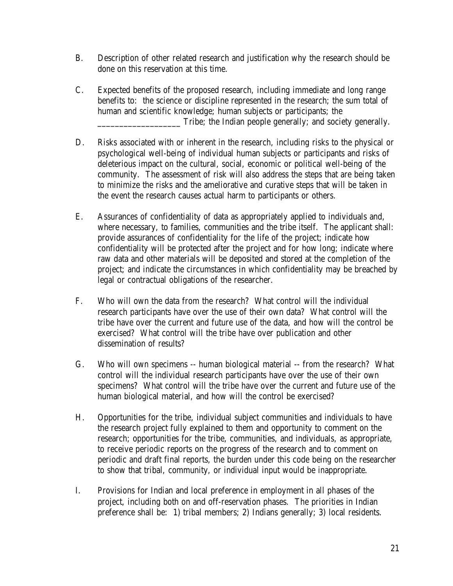- B. Description of other related research and justification why the research should be done on this reservation at this time.
- C. Expected benefits of the proposed research, including immediate and long range benefits to: the science or discipline represented in the research; the sum total of human and scientific knowledge; human subjects or participants; the \_\_\_\_\_\_\_\_\_\_\_\_\_\_\_\_\_\_\_ Tribe; the Indian people generally; and society generally.
- D. Risks associated with or inherent in the research, including risks to the physical or psychological well-being of individual human subjects or participants and risks of deleterious impact on the cultural, social, economic or political well-being of the community. The assessment of risk will also address the steps that are being taken to minimize the risks and the ameliorative and curative steps that will be taken in the event the research causes actual harm to participants or others.
- E. Assurances of confidentiality of data as appropriately applied to individuals and, where necessary, to families, communities and the tribe itself. The applicant shall: provide assurances of confidentiality for the life of the project; indicate how confidentiality will be protected after the project and for how long; indicate where raw data and other materials will be deposited and stored at the completion of the project; and indicate the circumstances in which confidentiality may be breached by legal or contractual obligations of the researcher.
- F. Who will own the data from the research? What control will the individual research participants have over the use of their own data? What control will the tribe have over the current and future use of the data, and how will the control be exercised? What control will the tribe have over publication and other dissemination of results?
- G. Who will own specimens -- human biological material -- from the research? What control will the individual research participants have over the use of their own specimens? What control will the tribe have over the current and future use of the human biological material, and how will the control be exercised?
- H. Opportunities for the tribe, individual subject communities and individuals to have the research project fully explained to them and opportunity to comment on the research; opportunities for the tribe, communities, and individuals, as appropriate, to receive periodic reports on the progress of the research and to comment on periodic and draft final reports, the burden under this code being on the researcher to show that tribal, community, or individual input would be inappropriate.
- I. Provisions for Indian and local preference in employment in all phases of the project, including both on and off-reservation phases. The priorities in Indian preference shall be: 1) tribal members; 2) Indians generally; 3) local residents.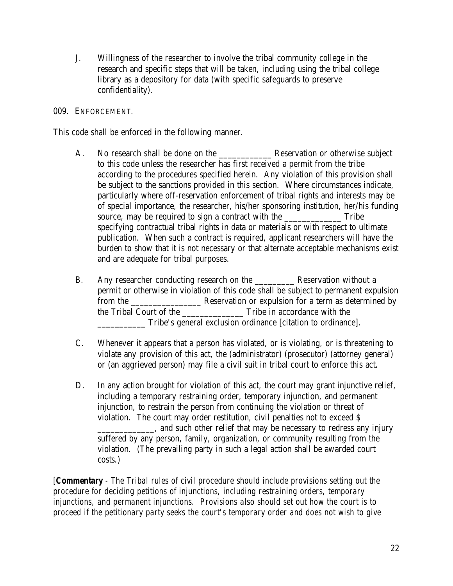J. Willingness of the researcher to involve the tribal community college in the research and specific steps that will be taken, including using the tribal college library as a depository for data (with specific safeguards to preserve confidentiality).

#### 009. ENFORCEMENT.

This code shall be enforced in the following manner.

- A. No research shall be done on the **Reservation or otherwise subject** to this code unless the researcher has first received a permit from the tribe according to the procedures specified herein. Any violation of this provision shall be subject to the sanctions provided in this section. Where circumstances indicate, particularly where off-reservation enforcement of tribal rights and interests may be of special importance, the researcher, his/her sponsoring institution, her/his funding source, may be required to sign a contract with the Tribe specifying contractual tribal rights in data or materials or with respect to ultimate publication. When such a contract is required, applicant researchers will have the burden to show that it is not necessary or that alternate acceptable mechanisms exist and are adequate for tribal purposes.
- B. Any researcher conducting research on the \_\_\_\_\_\_\_\_\_ Reservation without a permit or otherwise in violation of this code shall be subject to permanent expulsion from the \_\_\_\_\_\_\_\_\_\_\_\_\_\_\_\_ Reservation or expulsion for a term as determined by the Tribal Court of the \_\_\_\_\_\_\_\_\_\_\_\_\_\_ Tribe in accordance with the \_\_\_\_\_\_\_\_\_\_\_ Tribe's general exclusion ordinance [citation to ordinance].
- C. Whenever it appears that a person has violated, or is violating, or is threatening to violate any provision of this act, the (administrator) (prosecutor) (attorney general) or (an aggrieved person) may file a civil suit in tribal court to enforce this act.
- D. In any action brought for violation of this act, the court may grant injunctive relief, including a temporary restraining order, temporary injunction, and permanent injunction, to restrain the person from continuing the violation or threat of violation. The court may order restitution, civil penalties not to exceed \$ \_\_\_\_\_\_\_\_\_\_\_\_\_, and such other relief that may be necessary to redress any injury suffered by any person, family, organization, or community resulting from the violation. (The prevailing party in such a legal action shall be awarded court costs.)

*[Commentary - The Tribal rules of civil procedure should include provisions setting out the procedure for deciding petitions of injunctions, including restraining orders, temporary injunctions, and permanent injunctions. Provisions also should set out how the court is to proceed if the petitionary party seeks the court's temporary order and does not wish to give*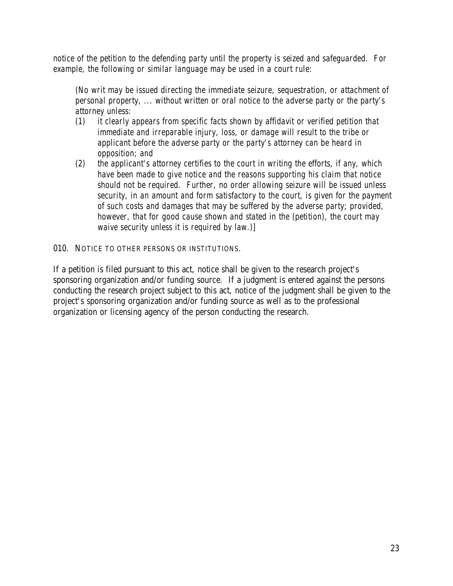*notice of the petition to the defending party until the property is seized and safeguarded. For example, the following or similar language may be used in a court rule:* 

*(No writ may be issued directing the immediate seizure, sequestration, or attachment of personal property, ... without written or oral notice to the adverse party or the party's attorney unless:* 

- *(1) it clearly appears from specific facts shown by affidavit or verified petition that immediate and irreparable injury, loss, or damage will result to the tribe or applicant before the adverse party or the party's attorney can be heard in opposition; and*
- *(2) the applicant's attorney certifies to the court in writing the efforts, if any, which have been made to give notice and the reasons supporting his claim that notice should not be required. Further, no order allowing seizure will be issued unless security, in an amount and form satisfactory to the court, is given for the payment of such costs and damages that may be suffered by the adverse party; provided, however, that for good cause shown and stated in the (petition), the court may waive security unless it is required by law.)]*

#### 010. NOTICE TO OTHER PERSONS OR INSTITUTIONS.

If a petition is filed pursuant to this act, notice shall be given to the research project's sponsoring organization and/or funding source. If a judgment is entered against the persons conducting the research project subject to this act, notice of the judgment shall be given to the project's sponsoring organization and/or funding source as well as to the professional organization or licensing agency of the person conducting the research.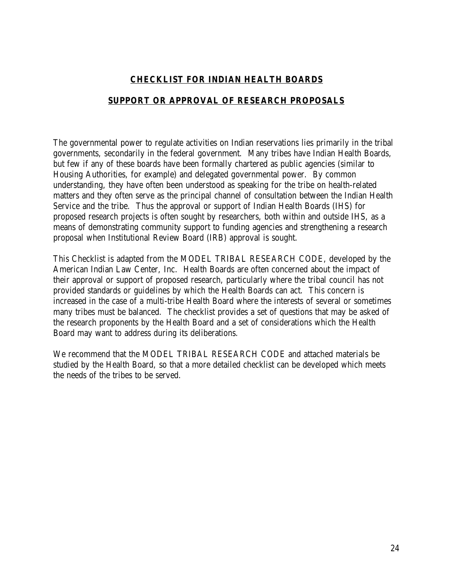## **CHECKLIST FOR INDIAN HEALTH BOARDS**

#### **SUPPORT OR APPROVAL OF RESEARCH PROPOSALS**

The governmental power to regulate activities on Indian reservations lies primarily in the tribal governments, secondarily in the federal government. Many tribes have Indian Health Boards, but few if any of these boards have been formally chartered as public agencies (similar to Housing Authorities, for example) and delegated governmental power. By common understanding, they have often been understood as speaking for the tribe on health-related matters and they often serve as the principal channel of consultation between the Indian Health Service and the tribe. Thus the approval or support of Indian Health Boards (IHS) for proposed research projects is often sought by researchers, both within and outside IHS, as a means of demonstrating community support to funding agencies and strengthening a research proposal when Institutional Review Board (IRB) approval is sought.

This Checklist is adapted from the MODEL TRIBAL RESEARCH CODE, developed by the American Indian Law Center, Inc. Health Boards are often concerned about the impact of their approval or support of proposed research, particularly where the tribal council has not provided standards or guidelines by which the Health Boards can act. This concern is increased in the case of a multi-tribe Health Board where the interests of several or sometimes many tribes must be balanced. The checklist provides a set of questions that may be asked of the research proponents by the Health Board and a set of considerations which the Health Board may want to address during its deliberations.

We recommend that the MODEL TRIBAL RESEARCH CODE and attached materials be studied by the Health Board, so that a more detailed checklist can be developed which meets the needs of the tribes to be served.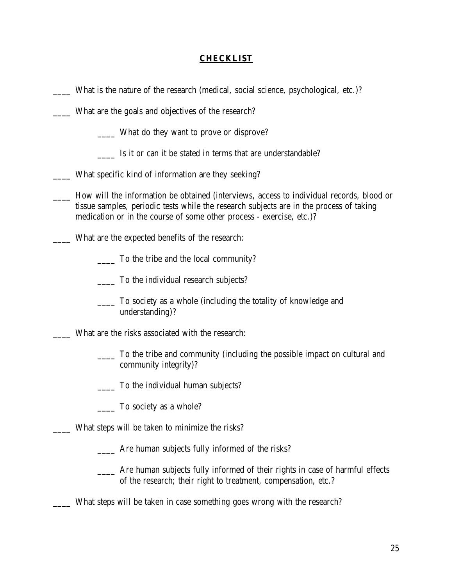#### **CHECKLIST**

- What is the nature of the research (medical, social science, psychological, etc.)?
- \_\_\_\_ What are the goals and objectives of the research?
	- \_\_\_\_ What do they want to prove or disprove?
	- \_\_\_\_ Is it or can it be stated in terms that are understandable?
- \_\_\_\_ What specific kind of information are they seeking?
- \_\_\_\_ How will the information be obtained (interviews, access to individual records, blood or tissue samples, periodic tests while the research subjects are in the process of taking medication or in the course of some other process - exercise, etc.)?
- What are the expected benefits of the research:
	- \_\_\_\_ To the tribe and the local community?
	- \_\_\_\_ To the individual research subjects?
	- \_\_\_\_ To society as a whole (including the totality of knowledge and understanding)?
- What are the risks associated with the research:
	- \_\_\_\_ To the tribe and community (including the possible impact on cultural and community integrity)?
	- \_\_\_\_ To the individual human subjects?
	- \_\_\_\_ To society as a whole?
- What steps will be taken to minimize the risks?
	- \_\_\_\_ Are human subjects fully informed of the risks?
	- \_\_\_\_ Are human subjects fully informed of their rights in case of harmful effects of the research; their right to treatment, compensation, etc.?
- \_\_\_\_ What steps will be taken in case something goes wrong with the research?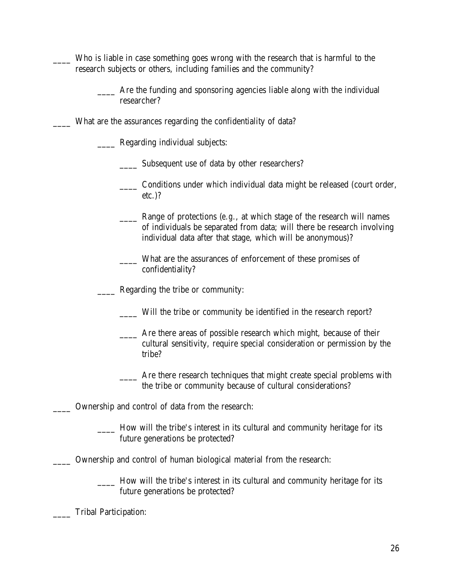- Who is liable in case something goes wrong with the research that is harmful to the research subjects or others, including families and the community?
	- Are the funding and sponsoring agencies liable along with the individual researcher?
	- What are the assurances regarding the confidentiality of data?
		- Regarding individual subjects:
			- Subsequent use of data by other researchers?
			- Conditions under which individual data might be released (court order, etc.)?
			- Range of protections (*e.g.*, at which stage of the research will names of individuals be separated from data; will there be research involving individual data after that stage, which will be anonymous)?
			- \_\_\_\_ What are the assurances of enforcement of these promises of confidentiality?

\_\_\_\_ Regarding the tribe or community:

- \_\_\_\_ Will the tribe or community be identified in the research report?
- \_\_\_\_ Are there areas of possible research which might, because of their cultural sensitivity, require special consideration or permission by the tribe?
	- Are there research techniques that might create special problems with the tribe or community because of cultural considerations?

\_\_\_\_ Ownership and control of data from the research:

- \_\_\_\_ How will the tribe's interest in its cultural and community heritage for its future generations be protected?
- \_\_\_\_ Ownership and control of human biological material from the research:
	- How will the tribe's interest in its cultural and community heritage for its future generations be protected?

Tribal Participation: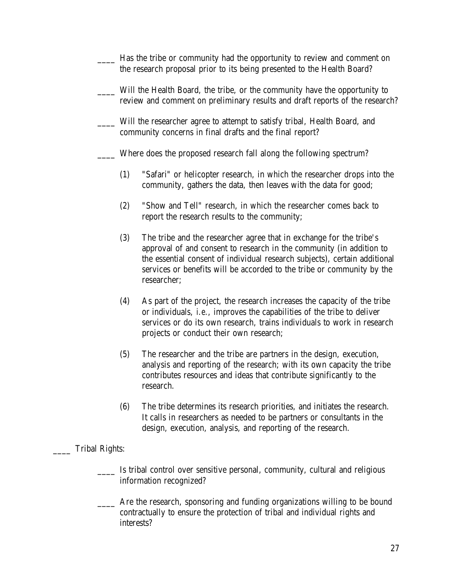- Has the tribe or community had the opportunity to review and comment on the research proposal prior to its being presented to the Health Board?
- Will the Health Board, the tribe, or the community have the opportunity to review and comment on preliminary results and draft reports of the research?
- Will the researcher agree to attempt to satisfy tribal, Health Board, and community concerns in final drafts and the final report?
- Where does the proposed research fall along the following spectrum?
	- (1) "Safari" or helicopter research, in which the researcher drops into the community, gathers the data, then leaves with the data for good;
	- (2) "Show and Tell" research, in which the researcher comes back to report the research results to the community;
	- (3) The tribe and the researcher agree that in exchange for the tribe's approval of and consent to research in the community (in addition to the essential consent of individual research subjects), certain additional services or benefits will be accorded to the tribe or community by the researcher;
	- (4) As part of the project, the research increases the capacity of the tribe or individuals, *i.e.*, improves the capabilities of the tribe to deliver services or do its own research, trains individuals to work in research projects or conduct their own research;
	- (5) The researcher and the tribe are partners in the design, execution, analysis and reporting of the research; with its own capacity the tribe contributes resources and ideas that contribute significantly to the research.
	- (6) The tribe determines its research priorities, and initiates the research. It calls in researchers as needed to be partners or consultants in the design, execution, analysis, and reporting of the research.

#### Tribal Rights:

- **IS IS IS 1.5** Is tribal control over sensitive personal, community, cultural and religious information recognized?
- Are the research, sponsoring and funding organizations willing to be bound contractually to ensure the protection of tribal and individual rights and interests?